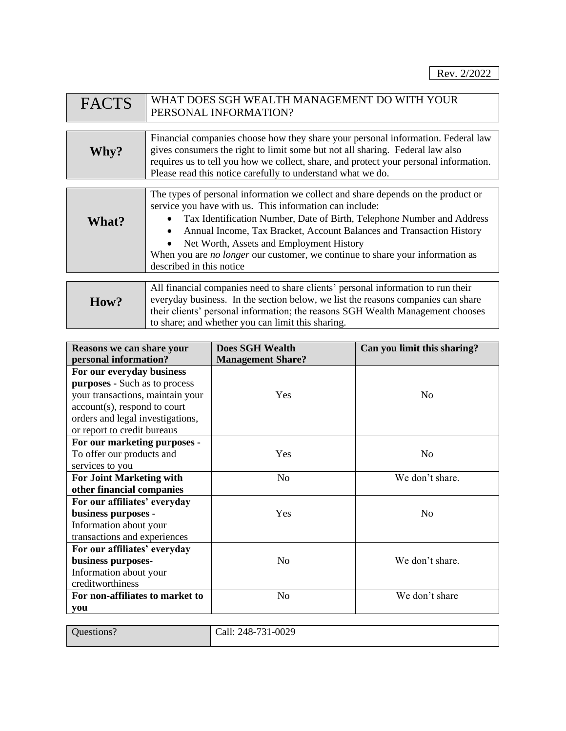| <b>FACTS</b> | WHAT DOES SGH WEALTH MANAGEMENT DO WITH YOUR<br>PERSONAL INFORMATION?                                                                                                                                                                                                                                                                                                                                                                                                    |
|--------------|--------------------------------------------------------------------------------------------------------------------------------------------------------------------------------------------------------------------------------------------------------------------------------------------------------------------------------------------------------------------------------------------------------------------------------------------------------------------------|
|              |                                                                                                                                                                                                                                                                                                                                                                                                                                                                          |
| Why?         | Financial companies choose how they share your personal information. Federal law<br>gives consumers the right to limit some but not all sharing. Federal law also<br>requires us to tell you how we collect, share, and protect your personal information.<br>Please read this notice carefully to understand what we do.                                                                                                                                                |
|              |                                                                                                                                                                                                                                                                                                                                                                                                                                                                          |
| What?        | The types of personal information we collect and share depends on the product or<br>service you have with us. This information can include:<br>Tax Identification Number, Date of Birth, Telephone Number and Address<br>$\bullet$<br>Annual Income, Tax Bracket, Account Balances and Transaction History<br>$\bullet$<br>Net Worth, Assets and Employment History<br>$\bullet$<br>When you are <i>no longer</i> our customer, we continue to share your information as |

| How? | All financial companies need to share clients' personal information to run their<br>everyday business. In the section below, we list the reasons companies can share<br>their clients' personal information; the reasons SGH Wealth Management chooses<br>to share; and whether you can limit this sharing. |
|------|-------------------------------------------------------------------------------------------------------------------------------------------------------------------------------------------------------------------------------------------------------------------------------------------------------------|
|------|-------------------------------------------------------------------------------------------------------------------------------------------------------------------------------------------------------------------------------------------------------------------------------------------------------------|

described in this notice

| Reasons we can share your        | <b>Does SGH Wealth</b>   | Can you limit this sharing? |
|----------------------------------|--------------------------|-----------------------------|
| personal information?            | <b>Management Share?</b> |                             |
| For our everyday business        |                          |                             |
| purposes - Such as to process    |                          |                             |
| your transactions, maintain your | Yes                      | No                          |
| account(s), respond to court     |                          |                             |
| orders and legal investigations, |                          |                             |
| or report to credit bureaus      |                          |                             |
| For our marketing purposes -     |                          |                             |
| To offer our products and        | Yes                      | N <sub>0</sub>              |
| services to you                  |                          |                             |
| <b>For Joint Marketing with</b>  | N <sub>o</sub>           | We don't share.             |
| other financial companies        |                          |                             |
| For our affiliates' everyday     |                          |                             |
| business purposes -              | Yes                      | N <sub>0</sub>              |
| Information about your           |                          |                             |
| transactions and experiences     |                          |                             |
| For our affiliates' everyday     |                          |                             |
| business purposes-               | N <sub>0</sub>           | We don't share.             |
| Information about your           |                          |                             |
| creditworthiness                 |                          |                             |
| For non-affiliates to market to  | N <sub>0</sub>           | We don't share              |
| you                              |                          |                             |

| $-0029$<br>248-731<br>`all:<br>$\sim$ TV<br>ັ້ |
|------------------------------------------------|
|                                                |